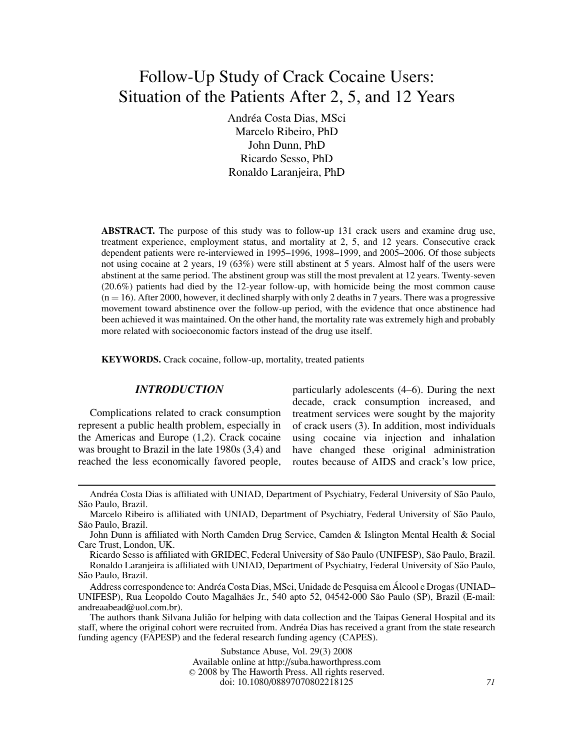# Follow-Up Study of Crack Cocaine Users: Situation of the Patients After 2, 5, and 12 Years

Andréa Costa Dias, MSci Marcelo Ribeiro, PhD John Dunn, PhD Ricardo Sesso, PhD Ronaldo Laranjeira, PhD

ABSTRACT. The purpose of this study was to follow-up 131 crack users and examine drug use, treatment experience, employment status, and mortality at 2, 5, and 12 years. Consecutive crack dependent patients were re-interviewed in 1995–1996, 1998–1999, and 2005–2006. Of those subjects not using cocaine at 2 years, 19 (63%) were still abstinent at 5 years. Almost half of the users were abstinent at the same period. The abstinent group was still the most prevalent at 12 years. Twenty-seven (20.6%) patients had died by the 12-year follow-up, with homicide being the most common cause  $(n = 16)$ . After 2000, however, it declined sharply with only 2 deaths in 7 years. There was a progressive movement toward abstinence over the follow-up period, with the evidence that once abstinence had been achieved it was maintained. On the other hand, the mortality rate was extremely high and probably more related with socioeconomic factors instead of the drug use itself.

**KEYWORDS.** Crack cocaine, follow-up, mortality, treated patients

# *INTRODUCTION*

Complications related to crack consumption represent a public health problem, especially in the Americas and Europe (1,2). Crack cocaine was brought to Brazil in the late 1980s (3,4) and reached the less economically favored people,

particularly adolescents (4–6). During the next decade, crack consumption increased, and treatment services were sought by the majority of crack users (3). In addition, most individuals using cocaine via injection and inhalation have changed these original administration routes because of AIDS and crack's low price,

Andréa Costa Dias is affiliated with UNIAD, Department of Psychiatry, Federal University of São Paulo, São Paulo, Brazil.

John Dunn is affiliated with North Camden Drug Service, Camden & Islington Mental Health & Social Care Trust, London, UK.

Ricardo Sesso is affiliated with GRIDEC, Federal University of São Paulo (UNIFESP), São Paulo, Brazil. Ronaldo Laranjeira is affiliated with UNIAD, Department of Psychiatry, Federal University of São Paulo, São Paulo, Brazil.

Address correspondence to: Andréa Costa Dias, MSci, Unidade de Pesquisa em Álcool e Drogas (UNIAD– UNIFESP), Rua Leopoldo Couto Magalhães Jr., 540 apto 52, 04542-000 São Paulo (SP), Brazil (E-mail: andreaabead@uol.com.br).

The authors thank Silvana Julião for helping with data collection and the Taipas General Hospital and its staff, where the original cohort were recruited from. Andrea Dias has received a grant from the state research ´ funding agency (FAPESP) and the federal research funding agency (CAPES).

> Substance Abuse, Vol. 29(3) 2008 Available online at http://suba.haworthpress.com <sup>C</sup> 2008 by The Haworth Press. All rights reserved. doi: 10.1080/08897070802218125 *71*

Marcelo Ribeiro is affiliated with UNIAD, Department of Psychiatry, Federal University of São Paulo, São Paulo, Brazil.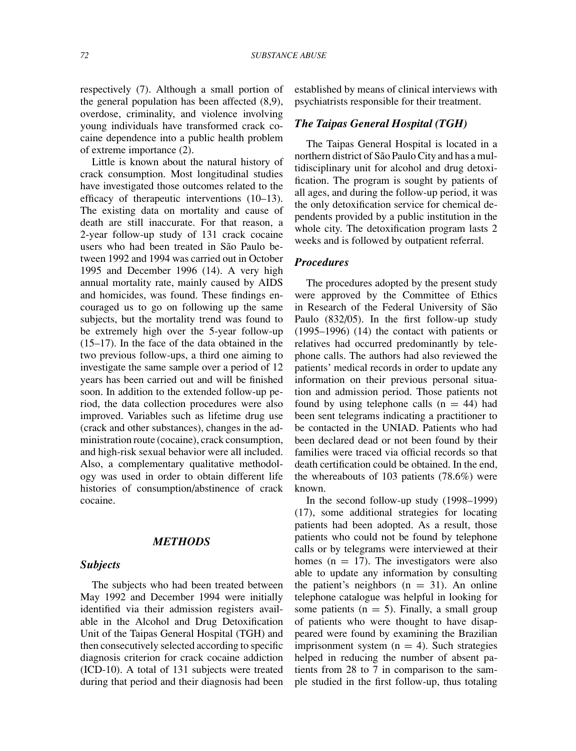respectively (7). Although a small portion of the general population has been affected (8,9), overdose, criminality, and violence involving young individuals have transformed crack cocaine dependence into a public health problem of extreme importance (2).

Little is known about the natural history of crack consumption. Most longitudinal studies have investigated those outcomes related to the efficacy of therapeutic interventions (10–13). The existing data on mortality and cause of death are still inaccurate. For that reason, a 2-year follow-up study of 131 crack cocaine users who had been treated in São Paulo between 1992 and 1994 was carried out in October 1995 and December 1996 (14). A very high annual mortality rate, mainly caused by AIDS and homicides, was found. These findings encouraged us to go on following up the same subjects, but the mortality trend was found to be extremely high over the 5-year follow-up (15–17). In the face of the data obtained in the two previous follow-ups, a third one aiming to investigate the same sample over a period of 12 years has been carried out and will be finished soon. In addition to the extended follow-up period, the data collection procedures were also improved. Variables such as lifetime drug use (crack and other substances), changes in the administration route (cocaine), crack consumption, and high-risk sexual behavior were all included. Also, a complementary qualitative methodology was used in order to obtain different life histories of consumption/abstinence of crack cocaine.

## *METHODS*

# *Subjects*

The subjects who had been treated between May 1992 and December 1994 were initially identified via their admission registers available in the Alcohol and Drug Detoxification Unit of the Taipas General Hospital (TGH) and then consecutively selected according to specific diagnosis criterion for crack cocaine addiction (ICD-10). A total of 131 subjects were treated during that period and their diagnosis had been established by means of clinical interviews with psychiatrists responsible for their treatment.

#### *The Taipas General Hospital (TGH)*

The Taipas General Hospital is located in a northern district of São Paulo City and has a multidisciplinary unit for alcohol and drug detoxification. The program is sought by patients of all ages, and during the follow-up period, it was the only detoxification service for chemical dependents provided by a public institution in the whole city. The detoxification program lasts 2 weeks and is followed by outpatient referral.

#### *Procedures*

The procedures adopted by the present study were approved by the Committee of Ethics in Research of the Federal University of São Paulo (832/05). In the first follow-up study (1995–1996) (14) the contact with patients or relatives had occurred predominantly by telephone calls. The authors had also reviewed the patients' medical records in order to update any information on their previous personal situation and admission period. Those patients not found by using telephone calls  $(n = 44)$  had been sent telegrams indicating a practitioner to be contacted in the UNIAD. Patients who had been declared dead or not been found by their families were traced via official records so that death certification could be obtained. In the end, the whereabouts of 103 patients (78.6%) were known.

In the second follow-up study (1998–1999) (17), some additional strategies for locating patients had been adopted. As a result, those patients who could not be found by telephone calls or by telegrams were interviewed at their homes ( $n = 17$ ). The investigators were also able to update any information by consulting the patient's neighbors  $(n = 31)$ . An online telephone catalogue was helpful in looking for some patients  $(n = 5)$ . Finally, a small group of patients who were thought to have disappeared were found by examining the Brazilian imprisonment system  $(n = 4)$ . Such strategies helped in reducing the number of absent patients from 28 to 7 in comparison to the sample studied in the first follow-up, thus totaling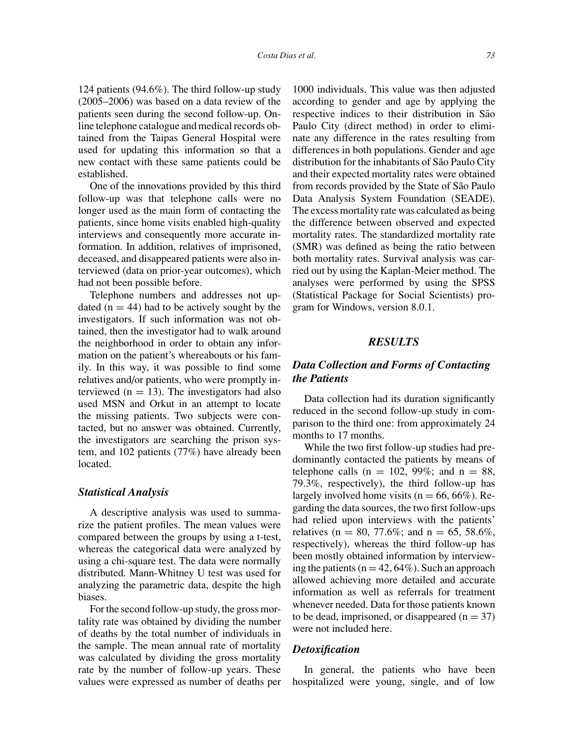124 patients (94.6%). The third follow-up study (2005–2006) was based on a data review of the patients seen during the second follow-up. Online telephone catalogue and medical records obtained from the Taipas General Hospital were used for updating this information so that a new contact with these same patients could be established.

One of the innovations provided by this third follow-up was that telephone calls were no longer used as the main form of contacting the patients, since home visits enabled high-quality interviews and consequently more accurate information. In addition, relatives of imprisoned, deceased, and disappeared patients were also interviewed (data on prior-year outcomes), which had not been possible before.

Telephone numbers and addresses not updated ( $n = 44$ ) had to be actively sought by the investigators. If such information was not obtained, then the investigator had to walk around the neighborhood in order to obtain any information on the patient's whereabouts or his family. In this way, it was possible to find some relatives and/or patients, who were promptly interviewed ( $n = 13$ ). The investigators had also used MSN and Orkut in an attempt to locate the missing patients. Two subjects were contacted, but no answer was obtained. Currently, the investigators are searching the prison system, and 102 patients (77%) have already been located.

#### *Statistical Analysis*

A descriptive analysis was used to summarize the patient profiles. The mean values were compared between the groups by using a t-test, whereas the categorical data were analyzed by using a chi-square test. The data were normally distributed. Mann-Whitney U test was used for analyzing the parametric data, despite the high biases.

For the second follow-up study, the gross mortality rate was obtained by dividing the number of deaths by the total number of individuals in the sample. The mean annual rate of mortality was calculated by dividing the gross mortality rate by the number of follow-up years. These values were expressed as number of deaths per

1000 individuals. This value was then adjusted according to gender and age by applying the respective indices to their distribution in São Paulo City (direct method) in order to eliminate any difference in the rates resulting from differences in both populations. Gender and age distribution for the inhabitants of São Paulo City and their expected mortality rates were obtained from records provided by the State of São Paulo Data Analysis System Foundation (SEADE). The excess mortality rate was calculated as being the difference between observed and expected mortality rates. The standardized mortality rate (SMR) was defined as being the ratio between both mortality rates. Survival analysis was carried out by using the Kaplan-Meier method. The analyses were performed by using the SPSS (Statistical Package for Social Scientists) program for Windows, version 8.0.1.

#### *RESULTS*

# *Data Collection and Forms of Contacting the Patients*

Data collection had its duration significantly reduced in the second follow-up study in comparison to the third one: from approximately 24 months to 17 months.

While the two first follow-up studies had predominantly contacted the patients by means of telephone calls ( $n = 102$ , 99%; and  $n = 88$ , 79.3%, respectively), the third follow-up has largely involved home visits ( $n = 66, 66\%$ ). Regarding the data sources, the two first follow-ups had relied upon interviews with the patients' relatives (n = 80, 77.6%; and n = 65, 58.6%, respectively), whereas the third follow-up has been mostly obtained information by interviewing the patients ( $n = 42, 64\%$ ). Such an approach allowed achieving more detailed and accurate information as well as referrals for treatment whenever needed. Data for those patients known to be dead, imprisoned, or disappeared  $(n = 37)$ were not included here.

#### *Detoxification*

In general, the patients who have been hospitalized were young, single, and of low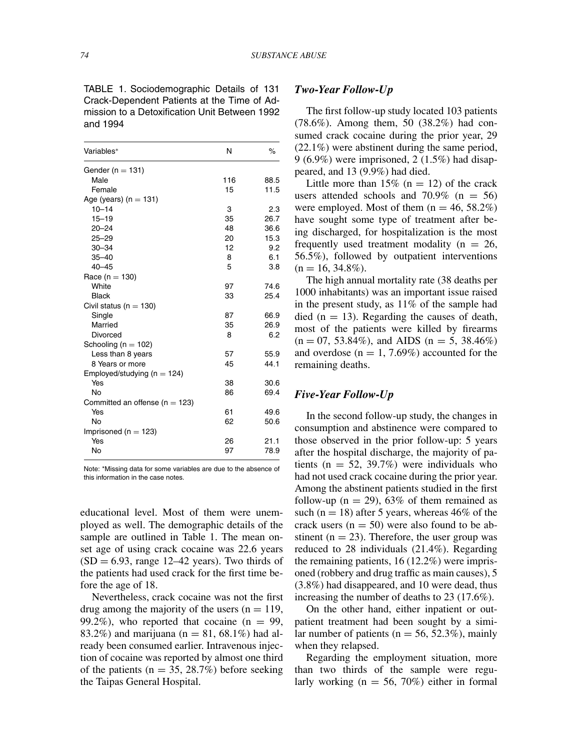TABLE 1. Sociodemographic Details of 131 Crack-Dependent Patients at the Time of Admission to a Detoxification Unit Between 1992 and 1994

| Variables*                         | N   | $\%$ |
|------------------------------------|-----|------|
| Gender (n $=$ 131)                 |     |      |
| Male                               | 116 | 88.5 |
| Female                             | 15  | 11.5 |
| Age (years) ( $n = 131$ )          |     |      |
| $10 - 14$                          | 3   | 2.3  |
| $15 - 19$                          | 35  | 26.7 |
| $20 - 24$                          | 48  | 36.6 |
| $25 - 29$                          | 20  | 15.3 |
| $30 - 34$                          | 12  | 9.2  |
| $35 - 40$                          | 8   | 6.1  |
| $40 - 45$                          | 5   | 3.8  |
| Race ( $n = 130$ )                 |     |      |
| White                              | 97  | 74.6 |
| Black                              | 33  | 25.4 |
| Civil status ( $n = 130$ )         |     |      |
| Single                             | 87  | 66.9 |
| Married                            | 35  | 26.9 |
| Divorced                           | 8   | 6.2  |
| Schooling ( $n = 102$ )            |     |      |
| Less than 8 years                  | 57  | 55.9 |
| 8 Years or more                    | 45  | 44.1 |
| Employed/studying ( $n = 124$ )    |     |      |
| Yes                                | 38  | 30.6 |
| No                                 | 86  | 69.4 |
| Committed an offense ( $n = 123$ ) |     |      |
| Yes                                | 61  | 49.6 |
| No                                 | 62  | 50.6 |
| Imprisoned ( $n = 123$ )           |     |      |
| Yes                                | 26  | 21.1 |
| No                                 | 97  | 78.9 |

Note: \*Missing data for some variables are due to the absence of this information in the case notes.

educational level. Most of them were unemployed as well. The demographic details of the sample are outlined in Table 1. The mean onset age of using crack cocaine was 22.6 years  $(SD = 6.93$ , range 12–42 years). Two thirds of the patients had used crack for the first time before the age of 18.

Nevertheless, crack cocaine was not the first drug among the majority of the users  $(n = 119)$ , 99.2%), who reported that cocaine  $(n = 99,$ 83.2%) and marijuana ( $n = 81, 68.1\%$ ) had already been consumed earlier. Intravenous injection of cocaine was reported by almost one third of the patients ( $n = 35, 28.7\%$ ) before seeking the Taipas General Hospital.

# *Two-Year Follow-Up*

The first follow-up study located 103 patients (78.6%). Among them, 50 (38.2%) had consumed crack cocaine during the prior year, 29 (22.1%) were abstinent during the same period, 9 (6.9%) were imprisoned, 2 (1.5%) had disappeared, and 13 (9.9%) had died.

Little more than  $15\%$  (n = 12) of the crack users attended schools and 70.9% ( $n = 56$ ) were employed. Most of them  $(n = 46, 58.2\%)$ have sought some type of treatment after being discharged, for hospitalization is the most frequently used treatment modality ( $n = 26$ , 56.5%), followed by outpatient interventions  $(n = 16, 34.8\%).$ 

The high annual mortality rate (38 deaths per 1000 inhabitants) was an important issue raised in the present study, as 11% of the sample had died ( $n = 13$ ). Regarding the causes of death, most of the patients were killed by firearms  $(n = 07, 53.84\%)$ , and AIDS  $(n = 5, 38.46\%)$ and overdose ( $n = 1, 7.69\%$ ) accounted for the remaining deaths.

#### *Five-Year Follow-Up*

In the second follow-up study, the changes in consumption and abstinence were compared to those observed in the prior follow-up: 5 years after the hospital discharge, the majority of patients ( $n = 52, 39.7\%$ ) were individuals who had not used crack cocaine during the prior year. Among the abstinent patients studied in the first follow-up ( $n = 29$ ), 63% of them remained as such ( $n = 18$ ) after 5 years, whereas 46% of the crack users  $(n = 50)$  were also found to be abstinent ( $n = 23$ ). Therefore, the user group was reduced to 28 individuals (21.4%). Regarding the remaining patients, 16 (12.2%) were imprisoned (robbery and drug traffic as main causes), 5 (3.8%) had disappeared, and 10 were dead, thus increasing the number of deaths to 23 (17.6%).

On the other hand, either inpatient or outpatient treatment had been sought by a similar number of patients ( $n = 56, 52.3\%$ ), mainly when they relapsed.

Regarding the employment situation, more than two thirds of the sample were regularly working  $(n = 56, 70\%)$  either in formal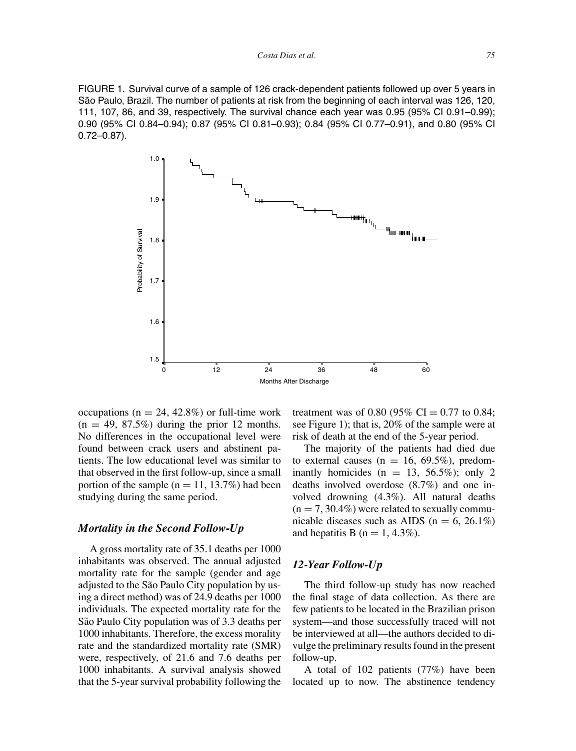FIGURE 1. Survival curve of a sample of 126 crack-dependent patients followed up over 5 years in São Paulo, Brazil. The number of patients at risk from the beginning of each interval was 126, 120, 111, 107, 86, and 39, respectively. The survival chance each year was 0.95 (95% CI 0.91–0.99); 0.90 (95% CI 0.84–0.94); 0.87 (95% CI 0.81–0.93); 0.84 (95% CI 0.77–0.91), and 0.80 (95% CI 0.72–0.87).



occupations ( $n = 24, 42.8\%$ ) or full-time work  $(n = 49, 87.5\%)$  during the prior 12 months. No differences in the occupational level were found between crack users and abstinent patients. The low educational level was similar to that observed in the first follow-up, since a small portion of the sample ( $n = 11, 13.7\%$ ) had been studying during the same period.

#### *Mortality in the Second Follow-Up*

A gross mortality rate of 35.1 deaths per 1000 inhabitants was observed. The annual adjusted mortality rate for the sample (gender and age adjusted to the São Paulo City population by using a direct method) was of 24.9 deaths per 1000 individuals. The expected mortality rate for the São Paulo City population was of 3.3 deaths per 1000 inhabitants. Therefore, the excess morality rate and the standardized mortality rate (SMR) were, respectively, of 21.6 and 7.6 deaths per 1000 inhabitants. A survival analysis showed that the 5-year survival probability following the

treatment was of 0.80 (95% CI = 0.77 to 0.84; see Figure 1); that is, 20% of the sample were at risk of death at the end of the 5-year period.

The majority of the patients had died due to external causes ( $n = 16, 69.5\%$ ), predominantly homicides ( $n = 13, 56.5\%$ ); only 2 deaths involved overdose (8.7%) and one involved drowning (4.3%). All natural deaths  $(n = 7, 30.4\%)$  were related to sexually communicable diseases such as AIDS ( $n = 6, 26.1\%$ ) and hepatitis B ( $n = 1, 4.3\%$ ).

#### *12-Year Follow-Up*

The third follow-up study has now reached the final stage of data collection. As there are few patients to be located in the Brazilian prison system—and those successfully traced will not be interviewed at all—the authors decided to divulge the preliminary results found in the present follow-up.

A total of 102 patients (77%) have been located up to now. The abstinence tendency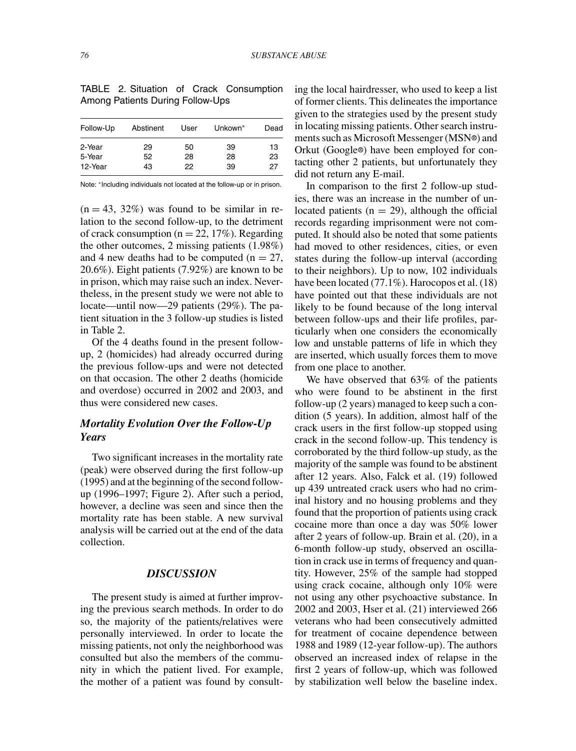| Follow-Up | Abstinent | User | Unkown <sup>*</sup> | Dead |
|-----------|-----------|------|---------------------|------|
| 2-Year    | 29        | 50   | 39                  | 13   |
| 5-Year    | 52        | 28   | 28                  | 23   |
| 12-Year   | 43        | 22   | 39                  | 27   |

TABLE 2. Situation of Crack Consumption Among Patients During Follow-Ups

Note: ∗Including individuals not located at the follow-up or in prison.

 $(n = 43, 32\%)$  was found to be similar in relation to the second follow-up, to the detriment of crack consumption ( $n = 22, 17\%$ ). Regarding the other outcomes, 2 missing patients (1.98%) and 4 new deaths had to be computed ( $n = 27$ , 20.6%). Eight patients (7.92%) are known to be in prison, which may raise such an index. Nevertheless, in the present study we were not able to locate—until now—29 patients (29%). The patient situation in the 3 follow-up studies is listed in Table 2.

Of the 4 deaths found in the present followup, 2 (homicides) had already occurred during the previous follow-ups and were not detected on that occasion. The other 2 deaths (homicide and overdose) occurred in 2002 and 2003, and thus were considered new cases.

# *Mortality Evolution Over the Follow-Up Years*

Two significant increases in the mortality rate (peak) were observed during the first follow-up (1995) and at the beginning of the second followup (1996–1997; Figure 2). After such a period, however, a decline was seen and since then the mortality rate has been stable. A new survival analysis will be carried out at the end of the data collection.

#### *DISCUSSION*

The present study is aimed at further improving the previous search methods. In order to do so, the majority of the patients/relatives were personally interviewed. In order to locate the missing patients, not only the neighborhood was consulted but also the members of the community in which the patient lived. For example, the mother of a patient was found by consulting the local hairdresser, who used to keep a list of former clients. This delineates the importance given to the strategies used by the present study in locating missing patients. Other search instruments such as Microsoft Messenger (MSN®) and Orkut (Google®) have been employed for contacting other 2 patients, but unfortunately they did not return any E-mail.

In comparison to the first 2 follow-up studies, there was an increase in the number of unlocated patients ( $n = 29$ ), although the official records regarding imprisonment were not computed. It should also be noted that some patients had moved to other residences, cities, or even states during the follow-up interval (according to their neighbors). Up to now, 102 individuals have been located (77.1%). Harocopos et al. (18) have pointed out that these individuals are not likely to be found because of the long interval between follow-ups and their life profiles, particularly when one considers the economically low and unstable patterns of life in which they are inserted, which usually forces them to move from one place to another.

We have observed that 63% of the patients who were found to be abstinent in the first follow-up (2 years) managed to keep such a condition (5 years). In addition, almost half of the crack users in the first follow-up stopped using crack in the second follow-up. This tendency is corroborated by the third follow-up study, as the majority of the sample was found to be abstinent after 12 years. Also, Falck et al. (19) followed up 439 untreated crack users who had no criminal history and no housing problems and they found that the proportion of patients using crack cocaine more than once a day was 50% lower after 2 years of follow-up. Brain et al. (20), in a 6-month follow-up study, observed an oscillation in crack use in terms of frequency and quantity. However, 25% of the sample had stopped using crack cocaine, although only 10% were not using any other psychoactive substance. In 2002 and 2003, Hser et al. (21) interviewed 266 veterans who had been consecutively admitted for treatment of cocaine dependence between 1988 and 1989 (12-year follow-up). The authors observed an increased index of relapse in the first 2 years of follow-up, which was followed by stabilization well below the baseline index.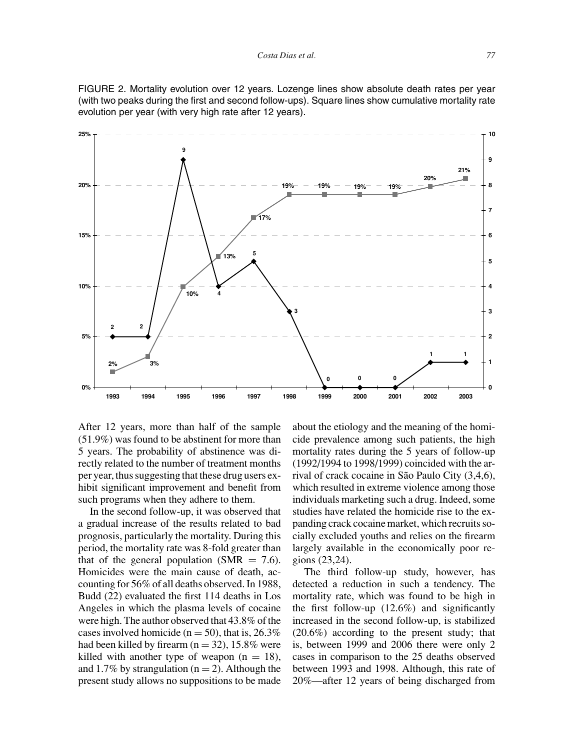FIGURE 2. Mortality evolution over 12 years. Lozenge lines show absolute death rates per year (with two peaks during the first and second follow-ups). Square lines show cumulative mortality rate evolution per year (with very high rate after 12 years).



After 12 years, more than half of the sample (51.9%) was found to be abstinent for more than 5 years. The probability of abstinence was directly related to the number of treatment months per year, thus suggesting that these drug users exhibit significant improvement and benefit from such programs when they adhere to them.

In the second follow-up, it was observed that a gradual increase of the results related to bad prognosis, particularly the mortality. During this period, the mortality rate was 8-fold greater than that of the general population (SMR  $= 7.6$ ). Homicides were the main cause of death, accounting for 56% of all deaths observed. In 1988, Budd (22) evaluated the first 114 deaths in Los Angeles in which the plasma levels of cocaine were high. The author observed that 43.8% of the cases involved homicide ( $n = 50$ ), that is, 26.3% had been killed by firearm ( $n = 32$ ), 15.8% were killed with another type of weapon  $(n = 18)$ , and 1.7% by strangulation ( $n = 2$ ). Although the present study allows no suppositions to be made

about the etiology and the meaning of the homicide prevalence among such patients, the high mortality rates during the 5 years of follow-up (1992/1994 to 1998/1999) coincided with the arrival of crack cocaine in São Paulo City  $(3,4,6)$ , which resulted in extreme violence among those individuals marketing such a drug. Indeed, some studies have related the homicide rise to the expanding crack cocaine market, which recruits socially excluded youths and relies on the firearm largely available in the economically poor regions (23,24).

The third follow-up study, however, has detected a reduction in such a tendency. The mortality rate, which was found to be high in the first follow-up (12.6%) and significantly increased in the second follow-up, is stabilized (20.6%) according to the present study; that is, between 1999 and 2006 there were only 2 cases in comparison to the 25 deaths observed between 1993 and 1998. Although, this rate of 20%—after 12 years of being discharged from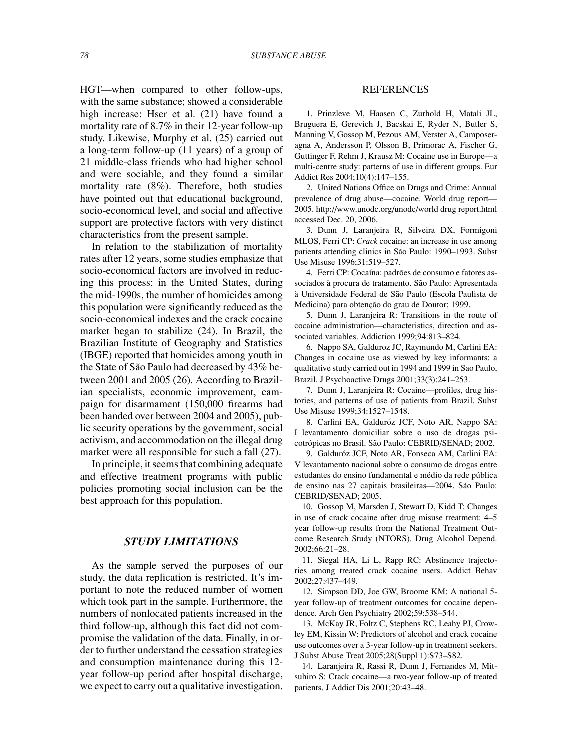HGT—when compared to other follow-ups, with the same substance; showed a considerable high increase: Hser et al. (21) have found a mortality rate of 8.7% in their 12-year follow-up study. Likewise, Murphy et al. (25) carried out a long-term follow-up (11 years) of a group of 21 middle-class friends who had higher school and were sociable, and they found a similar mortality rate (8%). Therefore, both studies have pointed out that educational background, socio-economical level, and social and affective support are protective factors with very distinct characteristics from the present sample.

In relation to the stabilization of mortality rates after 12 years, some studies emphasize that socio-economical factors are involved in reducing this process: in the United States, during the mid-1990s, the number of homicides among this population were significantly reduced as the socio-economical indexes and the crack cocaine market began to stabilize (24). In Brazil, the Brazilian Institute of Geography and Statistics (IBGE) reported that homicides among youth in the State of São Paulo had decreased by 43% between 2001 and 2005 (26). According to Brazilian specialists, economic improvement, campaign for disarmament (150,000 firearms had been handed over between 2004 and 2005), public security operations by the government, social activism, and accommodation on the illegal drug market were all responsible for such a fall (27).

In principle, it seems that combining adequate and effective treatment programs with public policies promoting social inclusion can be the best approach for this population.

## *STUDY LIMITATIONS*

As the sample served the purposes of our study, the data replication is restricted. It's important to note the reduced number of women which took part in the sample. Furthermore, the numbers of nonlocated patients increased in the third follow-up, although this fact did not compromise the validation of the data. Finally, in order to further understand the cessation strategies and consumption maintenance during this 12 year follow-up period after hospital discharge, we expect to carry out a qualitative investigation.

#### REFERENCES

1. Prinzleve M, Haasen C, Zurhold H, Matali JL, Bruguera E, Gerevich J, Bacskai E, Ryder N, Butler S, Manning V, Gossop M, Pezous AM, Verster A, Camposeragna A, Andersson P, Olsson B, Primorac A, Fischer G, Guttinger F, Rehm J, Krausz M: Cocaine use in Europe—a multi-centre study: patterns of use in different groups. Eur Addict Res 2004;10(4):147–155.

2. United Nations Office on Drugs and Crime: Annual prevalence of drug abuse—cocaine. World drug report— 2005. http://www.unodc.org/unodc/world drug report.html accessed Dec. 20, 2006.

3. Dunn J, Laranjeira R, Silveira DX, Formigoni MLOS, Ferri CP: *Crack* cocaine: an increase in use among patients attending clinics in São Paulo: 1990–1993. Subst Use Misuse 1996;31:519–527.

4. Ferri CP: Cocaína: padrões de consumo e fatores associados à procura de tratamento. São Paulo: Apresentada à Universidade Federal de São Paulo (Escola Paulista de Medicina) para obtenção do grau de Doutor; 1999.

5. Dunn J, Laranjeira R: Transitions in the route of cocaine administration—characteristics, direction and associated variables. Addiction 1999;94:813–824.

6. Nappo SA, Galduroz JC, Raymundo M, Carlini EA: Changes in cocaine use as viewed by key informants: a qualitative study carried out in 1994 and 1999 in Sao Paulo, Brazil. J Psychoactive Drugs 2001;33(3):241–253.

7. Dunn J, Laranjeira R: Cocaine—profiles, drug histories, and patterns of use of patients from Brazil. Subst Use Misuse 1999;34:1527–1548.

8. Carlini EA, Galduróz JCF, Noto AR, Nappo SA: I levantamento domiciliar sobre o uso de drogas psicotrópicas no Brasil. São Paulo: CEBRID/SENAD; 2002.

9. Galduróz JCF, Noto AR, Fonseca AM, Carlini EA: V levantamento nacional sobre o consumo de drogas entre estudantes do ensino fundamental e médio da rede pública de ensino nas 27 capitais brasileiras—2004. São Paulo: CEBRID/SENAD; 2005.

10. Gossop M, Marsden J, Stewart D, Kidd T: Changes in use of crack cocaine after drug misuse treatment: 4–5 year follow-up results from the National Treatment Outcome Research Study (NTORS). Drug Alcohol Depend. 2002;66:21–28.

11. Siegal HA, Li L, Rapp RC: Abstinence trajectories among treated crack cocaine users. Addict Behav 2002;27:437–449.

12. Simpson DD, Joe GW, Broome KM: A national 5 year follow-up of treatment outcomes for cocaine dependence. Arch Gen Psychiatry 2002;59:538–544.

13. McKay JR, Foltz C, Stephens RC, Leahy PJ, Crowley EM, Kissin W: Predictors of alcohol and crack cocaine use outcomes over a 3-year follow-up in treatment seekers. J Subst Abuse Treat 2005;28(Suppl 1):S73–S82.

14. Laranjeira R, Rassi R, Dunn J, Fernandes M, Mitsuhiro S: Crack cocaine—a two-year follow-up of treated patients. J Addict Dis 2001;20:43–48.